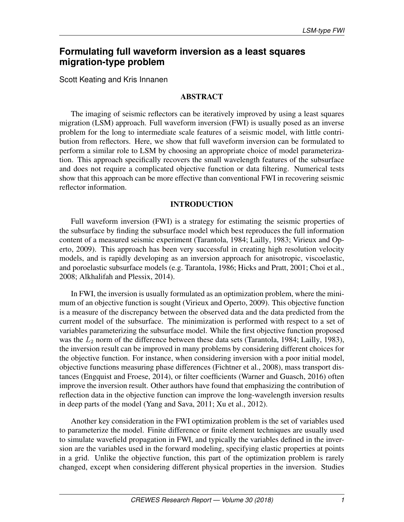# **Formulating full waveform inversion as a least squares migration-type problem**

Scott Keating and Kris Innanen

### ABSTRACT

The imaging of seismic reflectors can be iteratively improved by using a least squares migration (LSM) approach. Full waveform inversion (FWI) is usually posed as an inverse problem for the long to intermediate scale features of a seismic model, with little contribution from reflectors. Here, we show that full waveform inversion can be formulated to perform a similar role to LSM by choosing an appropriate choice of model parameterization. This approach specifically recovers the small wavelength features of the subsurface and does not require a complicated objective function or data filtering. Numerical tests show that this approach can be more effective than conventional FWI in recovering seismic reflector information.

# INTRODUCTION

Full waveform inversion (FWI) is a strategy for estimating the seismic properties of the subsurface by finding the subsurface model which best reproduces the full information content of a measured seismic experiment [\(Tarantola, 1984;](#page-13-0) [Lailly, 1983;](#page-12-0) [Virieux and Op](#page-13-1)[erto, 2009\)](#page-13-1). This approach has been very successful in creating high resolution velocity models, and is rapidly developing as an inversion approach for anisotropic, viscoelastic, and poroelastic subsurface models (e.g. [Tarantola, 1986;](#page-13-2) [Hicks and Pratt, 2001;](#page-12-1) [Choi et al.,](#page-12-2) [2008;](#page-12-2) [Alkhalifah and Plessix, 2014\)](#page-12-3).

In FWI, the inversion is usually formulated as an optimization problem, where the minimum of an objective function is sought [\(Virieux and Operto, 2009\)](#page-13-1). This objective function is a measure of the discrepancy between the observed data and the data predicted from the current model of the subsurface. The minimization is performed with respect to a set of variables parameterizing the subsurface model. While the first objective function proposed was the  $L_2$  norm of the difference between these data sets [\(Tarantola, 1984;](#page-13-0) [Lailly, 1983\)](#page-12-0), the inversion result can be improved in many problems by considering different choices for the objective function. For instance, when considering inversion with a poor initial model, objective functions measuring phase differences [\(Fichtner et al., 2008\)](#page-12-4), mass transport distances [\(Engquist and Froese, 2014\)](#page-12-5), or filter coefficients [\(Warner and Guasch, 2016\)](#page-13-3) often improve the inversion result. Other authors have found that emphasizing the contribution of reflection data in the objective function can improve the long-wavelength inversion results in deep parts of the model [\(Yang and Sava, 2011;](#page-13-4) [Xu et al., 2012\)](#page-13-5).

Another key consideration in the FWI optimization problem is the set of variables used to parameterize the model. Finite difference or finite element techniques are usually used to simulate wavefield propagation in FWI, and typically the variables defined in the inversion are the variables used in the forward modeling, specifying elastic properties at points in a grid. Unlike the objective function, this part of the optimization problem is rarely changed, except when considering different physical properties in the inversion. Studies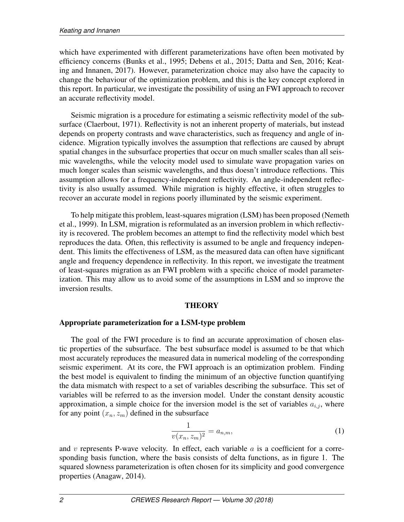which have experimented with different parameterizations have often been motivated by efficiency concerns [\(Bunks et al., 1995;](#page-12-6) [Debens et al., 2015;](#page-12-7) [Datta and Sen, 2016;](#page-12-8) [Keat](#page-12-9)[ing and Innanen, 2017\)](#page-12-9). However, parameterization choice may also have the capacity to change the behaviour of the optimization problem, and this is the key concept explored in this report. In particular, we investigate the possibility of using an FWI approach to recover an accurate reflectivity model.

Seismic migration is a procedure for estimating a seismic reflectivity model of the subsurface [\(Claerbout, 1971\)](#page-12-10). Reflectivity is not an inherent property of materials, but instead depends on property contrasts and wave characteristics, such as frequency and angle of incidence. Migration typically involves the assumption that reflections are caused by abrupt spatial changes in the subsurface properties that occur on much smaller scales than all seismic wavelengths, while the velocity model used to simulate wave propagation varies on much longer scales than seismic wavelengths, and thus doesn't introduce reflections. This assumption allows for a frequency-independent reflectivity. An angle-independent reflectivity is also usually assumed. While migration is highly effective, it often struggles to recover an accurate model in regions poorly illuminated by the seismic experiment.

To help mitigate this problem, least-squares migration (LSM) has been proposed [\(Nemet](#page-12-11)h [et al., 1999\)](#page-12-11). In LSM, migration is reformulated as an inversion problem in which reflectivity is recovered. The problem becomes an attempt to find the reflectivity model which best reproduces the data. Often, this reflectivity is assumed to be angle and frequency independent. This limits the effectiveness of LSM, as the measured data can often have significant angle and frequency dependence in reflectivity. In this report, we investigate the treatment of least-squares migration as an FWI problem with a specific choice of model parameterization. This may allow us to avoid some of the assumptions in LSM and so improve the inversion results.

### **THEORY**

# Appropriate parameterization for a LSM-type problem

The goal of the FWI procedure is to find an accurate approximation of chosen elastic properties of the subsurface. The best subsurface model is assumed to be that which most accurately reproduces the measured data in numerical modeling of the corresponding seismic experiment. At its core, the FWI approach is an optimization problem. Finding the best model is equivalent to finding the minimum of an objective function quantifying the data mismatch with respect to a set of variables describing the subsurface. This set of variables will be referred to as the inversion model. Under the constant density acoustic approximation, a simple choice for the inversion model is the set of variables  $a_{i,j}$ , where for any point  $(x_n, z_m)$  defined in the subsurface

$$
\frac{1}{v(x_n, z_m)^2} = a_{n,m},\tag{1}
$$

and v represents P-wave velocity. In effect, each variable  $a$  is a coefficient for a corresponding basis function, where the basis consists of delta functions, as in figure [1.](#page-2-0) The squared slowness parameterization is often chosen for its simplicity and good convergence properties [\(Anagaw, 2014\)](#page-12-12).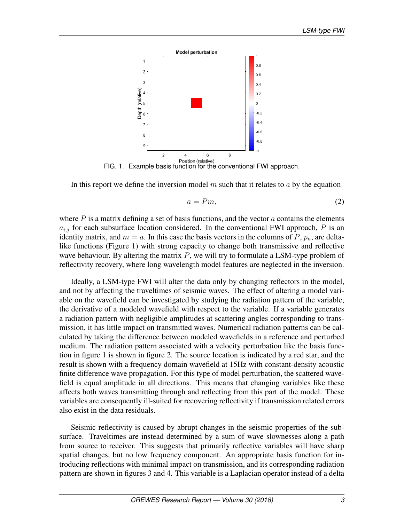

<span id="page-2-0"></span>FIG. 1. Example basis function for the conventional FWI approach.

In this report we define the inversion model  $m$  such that it relates to  $a$  by the equation

<span id="page-2-1"></span>
$$
a = Pm,\tag{2}
$$

where  $P$  is a matrix defining a set of basis functions, and the vector  $a$  contains the elements  $a_{i,j}$  for each subsurface location considered. In the conventional FWI approach, P is an identity matrix, and  $m = a$ . In this case the basis vectors in the columns of P,  $p_n$ , are deltalike functions (Figure [1\)](#page-2-0) with strong capacity to change both transmissive and reflective wave behaviour. By altering the matrix  $P$ , we will try to formulate a LSM-type problem of reflectivity recovery, where long wavelength model features are neglected in the inversion.

Ideally, a LSM-type FWI will alter the data only by changing reflectors in the model, and not by affecting the traveltimes of seismic waves. The effect of altering a model variable on the wavefield can be investigated by studying the radiation pattern of the variable, the derivative of a modeled wavefield with respect to the variable. If a variable generates a radiation pattern with negligible amplitudes at scattering angles corresponding to transmission, it has little impact on transmitted waves. Numerical radiation patterns can be calculated by taking the difference between modeled wavefields in a reference and perturbed medium. The radiation pattern associated with a velocity perturbation like the basis function in figure [1](#page-2-0) is shown in figure [2.](#page-3-0) The source location is indicated by a red star, and the result is shown with a frequency domain wavefield at 15Hz with constant-density acoustic finite difference wave propagation. For this type of model perturbation, the scattered wavefield is equal amplitude in all directions. This means that changing variables like these affects both waves transmitting through and reflecting from this part of the model. These variables are consequently ill-suited for recovering reflectivity if transmission related errors also exist in the data residuals.

Seismic reflectivity is caused by abrupt changes in the seismic properties of the subsurface. Traveltimes are instead determined by a sum of wave slownesses along a path from source to receiver. This suggests that primarily reflective variables will have sharp spatial changes, but no low frequency component. An appropriate basis function for introducing reflections with minimal impact on transmission, and its corresponding radiation pattern are shown in figures [3](#page-4-0) and [4.](#page-5-0) This variable is a Laplacian operator instead of a delta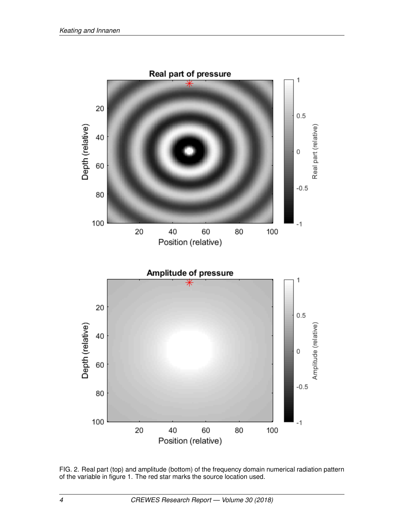

<span id="page-3-0"></span>FIG. 2. Real part (top) and amplitude (bottom) of the frequency domain numerical radiation pattern of the variable in figure [1.](#page-2-0) The red star marks the source location used.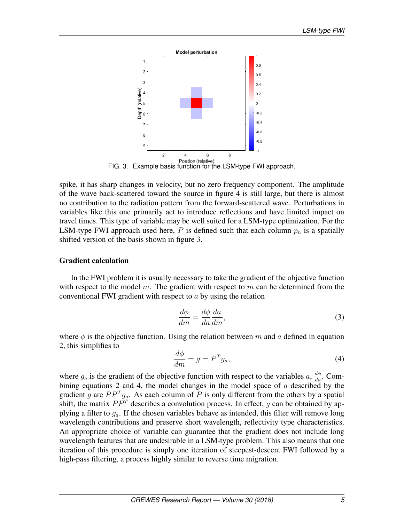

<span id="page-4-0"></span>Position (relative)<br>FIG. 3. Example basis function for the LSM-type FWI approach.

spike, it has sharp changes in velocity, but no zero frequency component. The amplitude of the wave back-scattered toward the source in figure [4](#page-5-0) is still large, but there is almost no contribution to the radiation pattern from the forward-scattered wave. Perturbations in variables like this one primarily act to introduce reflections and have limited impact on travel times. This type of variable may be well suited for a LSM-type optimization. For the LSM-type FWI approach used here, P is defined such that each column  $p_n$  is a spatially shifted version of the basis shown in figure [3.](#page-4-0)

### Gradient calculation

In the FWI problem it is usually necessary to take the gradient of the objective function with respect to the model m. The gradient with respect to m can be determined from the conventional FWI gradient with respect to  $\alpha$  by using the relation

$$
\frac{d\phi}{dm} = \frac{d\phi}{da}\frac{da}{dm},\tag{3}
$$

where  $\phi$  is the objective function. Using the relation between m and a defined in equation [2,](#page-2-1) this simplifies to

<span id="page-4-1"></span>
$$
\frac{d\phi}{dm} = g = P^T g_a,\tag{4}
$$

where  $g_a$  is the gradient of the objective function with respect to the variables  $a, \frac{d\phi}{da}$ . Com-bining equations [2](#page-2-1) and [4,](#page-4-1) the model changes in the model space of  $a$  described by the gradient g are  $PP<sup>T</sup>g<sub>a</sub>$ . As each column of P is only different from the others by a spatial shift, the matrix  $PP<sup>T</sup>$  describes a convolution process. In effect, g can be obtained by applying a filter to  $g_a$ . If the chosen variables behave as intended, this filter will remove long wavelength contributions and preserve short wavelength, reflectivity type characteristics. An appropriate choice of variable can guarantee that the gradient does not include long wavelength features that are undesirable in a LSM-type problem. This also means that one iteration of this procedure is simply one iteration of steepest-descent FWI followed by a high-pass filtering, a process highly similar to reverse time migration.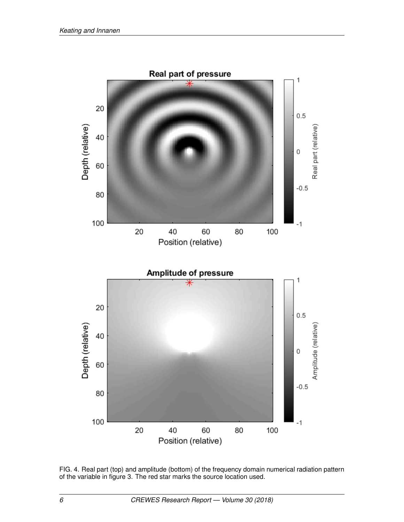

<span id="page-5-0"></span>FIG. 4. Real part (top) and amplitude (bottom) of the frequency domain numerical radiation pattern of the variable in figure [3.](#page-4-0) The red star marks the source location used.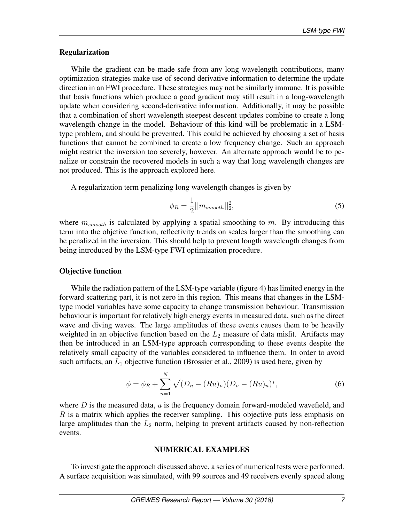#### Regularization

While the gradient can be made safe from any long wavelength contributions, many optimization strategies make use of second derivative information to determine the update direction in an FWI procedure. These strategies may not be similarly immune. It is possible that basis functions which produce a good gradient may still result in a long-wavelength update when considering second-derivative information. Additionally, it may be possible that a combination of short wavelength steepest descent updates combine to create a long wavelength change in the model. Behaviour of this kind will be problematic in a LSMtype problem, and should be prevented. This could be achieved by choosing a set of basis functions that cannot be combined to create a low frequency change. Such an approach might restrict the inversion too severely, however. An alternate approach would be to penalize or constrain the recovered models in such a way that long wavelength changes are not produced. This is the approach explored here.

A regularization term penalizing long wavelength changes is given by

$$
\phi_R = \frac{1}{2} ||m_{smooth}||_2^2,\tag{5}
$$

where  $m_{smooth}$  is calculated by applying a spatial smoothing to m. By introducing this term into the objctive function, reflectivity trends on scales larger than the smoothing can be penalized in the inversion. This should help to prevent longth wavelength changes from being introduced by the LSM-type FWI optimization procedure.

#### Objective function

While the radiation pattern of the LSM-type variable (figure [4\)](#page-5-0) has limited energy in the forward scattering part, it is not zero in this region. This means that changes in the LSMtype model variables have some capacity to change transmission behaviour. Transmission behaviour is important for relatively high energy events in measured data, such as the direct wave and diving waves. The large amplitudes of these events causes them to be heavily weighted in an objective function based on the  $L_2$  measure of data misfit. Artifacts may then be introduced in an LSM-type approach corresponding to these events despite the relatively small capacity of the variables considered to influence them. In order to avoid such artifacts, an  $L_1$  objective function [\(Brossier et al., 2009\)](#page-12-13) is used here, given by

$$
\phi = \phi_R + \sum_{n=1}^{N} \sqrt{(D_n - (Ru)_n)(D_n - (Ru)_n)^*},
$$
\n(6)

where  $D$  is the measured data,  $u$  is the frequency domain forward-modeled wavefield, and  $R$  is a matrix which applies the receiver sampling. This objective puts less emphasis on large amplitudes than the  $L_2$  norm, helping to prevent artifacts caused by non-reflection events.

#### NUMERICAL EXAMPLES

To investigate the approach discussed above, a series of numerical tests were performed. A surface acquisition was simulated, with 99 sources and 49 receivers evenly spaced along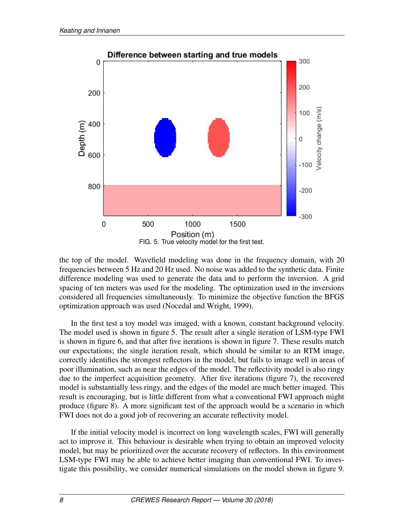

<span id="page-7-0"></span>the top of the model. Wavefield modeling was done in the frequency domain, with 20 frequencies between 5 Hz and 20 Hz used. No noise was added to the synthetic data. Finite difference modeling was used to generate the data and to perform the inversion. A grid spacing of ten meters was used for the modeling. The optimization used in the inversions considered all frequencies simultaneously. To minimize the objective function the BFGS optimization approach was used [\(Nocedal and Wright, 1999\)](#page-12-14).

In the first test a toy model was imaged, with a known, constant background velocity. The model used is shown in figure [5.](#page-7-0) The result after a single iteration of LSM-type FWI is shown in figure [6,](#page-8-0) and that after five iterations is shown in figure [7.](#page-8-1) These results match our expectations; the single iteration result, which should be similar to an RTM image, correctly identifies the strongest reflectors in the model, but fails to image well in areas of poor illumination, such as near the edges of the model. The reflectivity model is also ringy due to the imperfect acquisition geometry. After five iterations (figure [7\)](#page-8-1), the recovered model is substantially less ringy, and the edges of the model are much better imaged. This result is encouraging, but is little different from what a conventional FWI approach might produce (figure [8\)](#page-9-0). A more significant test of the approach would be a scenario in which FWI does not do a good job of recovering an accurate reflectivity model.

If the initial velocity model is incorrect on long wavelength scales, FWI will generally act to improve it. This behaviour is desirable when trying to obtain an improved velocity model, but may be prioritized over the accurate recovery of reflectors. In this environment LSM-type FWI may be able to achieve better imaging than conventional FWI. To investigate this possibility, we consider numerical simulations on the model shown in figure [9.](#page-10-0)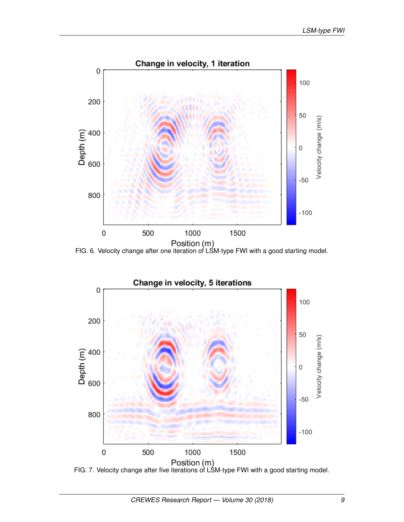

<span id="page-8-0"></span>FIG. 6. Velocity change after one iteration of LSM-type FWI with a good starting model.



<span id="page-8-1"></span>FIG. 7. Velocity change after five iterations of LSM-type FWI with a good starting model.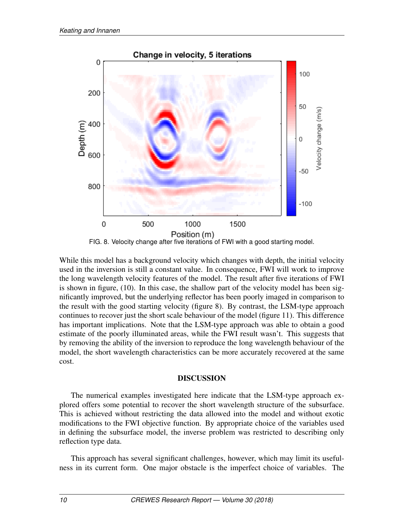

<span id="page-9-0"></span>While this model has a background velocity which changes with depth, the initial velocity used in the inversion is still a constant value. In consequence, FWI will work to improve the long wavelength velocity features of the model. The result after five iterations of FWI is shown in figure, [\(10\)](#page-10-1). In this case, the shallow part of the velocity model has been significantly improved, but the underlying reflector has been poorly imaged in comparison to the result with the good starting velocity (figure [8\)](#page-9-0). By contrast, the LSM-type approach continues to recover just the short scale behaviour of the model (figure [11\)](#page-11-0). This difference has important implications. Note that the LSM-type approach was able to obtain a good estimate of the poorly illuminated areas, while the FWI result wasn't. This suggests that by removing the ability of the inversion to reproduce the long wavelength behaviour of the model, the short wavelength characteristics can be more accurately recovered at the same cost.

### DISCUSSION

The numerical examples investigated here indicate that the LSM-type approach explored offers some potential to recover the short wavelength structure of the subsurface. This is achieved without restricting the data allowed into the model and without exotic modifications to the FWI objective function. By appropriate choice of the variables used in defining the subsurface model, the inverse problem was restricted to describing only reflection type data.

This approach has several significant challenges, however, which may limit its usefulness in its current form. One major obstacle is the imperfect choice of variables. The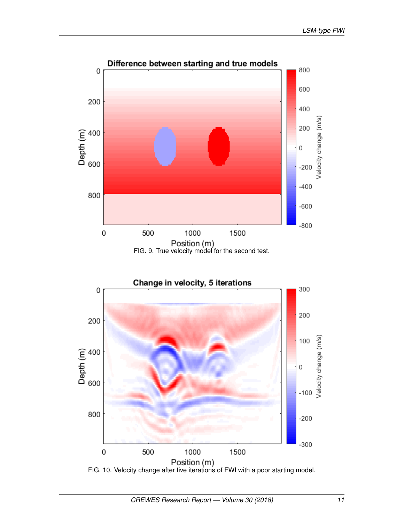

<span id="page-10-0"></span>

<span id="page-10-1"></span>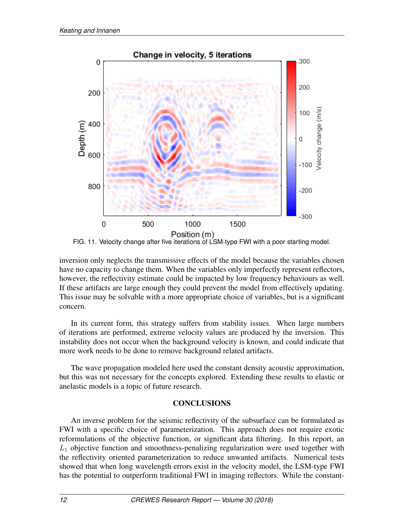

<span id="page-11-0"></span>FIG. 11. Velocity change after five iterations of LSM-type FWI with a poor starting model.

inversion only neglects the transmissive effects of the model because the variables chosen have no capacity to change them. When the variables only imperfectly represent reflectors, however, the reflectivity estimate could be impacted by low frequency behaviours as well. If these artifacts are large enough they could prevent the model from effectively updating. This issue may be solvable with a more appropriate choice of variables, but is a significant concern.

In its current form, this strategy suffers from stability issues. When large numbers of iterations are performed, extreme velocity values are produced by the inversion. This instability does not occur when the background velocity is known, and could indicate that more work needs to be done to remove background related artifacts.

The wave propagation modeled here used the constant density acoustic approximation, but this was not necessary for the concepts explored. Extending these results to elastic or anelastic models is a topic of future research.

# **CONCLUSIONS**

An inverse problem for the seismic reflectivity of the subsurface can be formulated as FWI with a specific choice of parameterization. This approach does not require exotic reformulations of the objective function, or significant data filtering. In this report, an  $L_1$  objective function and smoothness-penalizing regularization were used together with the reflectivity oriented parameterization to reduce unwanted artifacts. Numerical tests showed that when long wavelength errors exist in the velocity model, the LSM-type FWI has the potential to outperform traditional FWI in imaging reflectors. While the constant-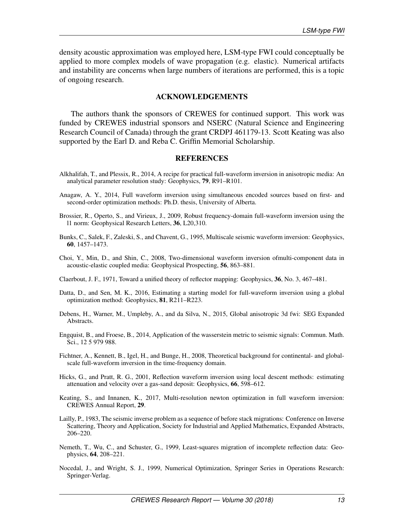density acoustic approximation was employed here, LSM-type FWI could conceptually be applied to more complex models of wave propagation (e.g. elastic). Numerical artifacts and instability are concerns when large numbers of iterations are performed, this is a topic of ongoing research.

#### ACKNOWLEDGEMENTS

The authors thank the sponsors of CREWES for continued support. This work was funded by CREWES industrial sponsors and NSERC (Natural Science and Engineering Research Council of Canada) through the grant CRDPJ 461179-13. Scott Keating was also supported by the Earl D. and Reba C. Griffin Memorial Scholarship.

#### REFERENCES

- <span id="page-12-3"></span>Alkhalifah, T., and Plessix, R., 2014, A recipe for practical full-waveform inversion in anisotropic media: An analytical parameter resolution study: Geophysics, 79, R91–R101.
- <span id="page-12-12"></span>Anagaw, A. Y., 2014, Full waveform inversion using simultaneous encoded sources based on first- and second-order optimization methods: Ph.D. thesis, University of Alberta.
- <span id="page-12-13"></span>Brossier, R., Operto, S., and Virieux, J., 2009, Robust frequency-domain full-waveform inversion using the l1 norm: Geophysical Research Letters, 36, L20,310.
- <span id="page-12-6"></span>Bunks, C., Salek, F., Zaleski, S., and Chavent, G., 1995, Multiscale seismic waveform inversion: Geophysics, 60, 1457–1473.
- <span id="page-12-2"></span>Choi, Y., Min, D., and Shin, C., 2008, Two-dimensional waveform inversion ofmulti-component data in acoustic-elastic coupled media: Geophysical Prospecting, 56, 863–881.

<span id="page-12-10"></span>Claerbout, J. F., 1971, Toward a unified theory of reflector mapping: Geophysics, 36, No. 3, 467–481.

- <span id="page-12-8"></span>Datta, D., and Sen, M. K., 2016, Estimating a starting model for full-waveform inversion using a global optimization method: Geophysics, 81, R211–R223.
- <span id="page-12-7"></span>Debens, H., Warner, M., Umpleby, A., and da Silva, N., 2015, Global anisotropic 3d fwi: SEG Expanded Abstracts.
- <span id="page-12-5"></span>Engquist, B., and Froese, B., 2014, Application of the wasserstein metric to seismic signals: Commun. Math. Sci., 12 5 979 988.
- <span id="page-12-4"></span>Fichtner, A., Kennett, B., Igel, H., and Bunge, H., 2008, Theoretical background for continental- and globalscale full-waveform inversion in the time-frequency domain.
- <span id="page-12-1"></span>Hicks, G., and Pratt, R. G., 2001, Reflection waveform inversion using local descent methods: estimating attenuation and velocity over a gas-sand deposit: Geophysics, 66, 598–612.
- <span id="page-12-9"></span>Keating, S., and Innanen, K., 2017, Multi-resolution newton optimization in full waveform inversion: CREWES Annual Report, 29.
- <span id="page-12-0"></span>Lailly, P., 1983, The seismic inverse problem as a sequence of before stack migrations: Conference on Inverse Scattering, Theory and Application, Society for Industrial and Applied Mathematics, Expanded Abstracts, 206–220.
- <span id="page-12-11"></span>Nemeth, T., Wu, C., and Schuster, G., 1999, Least-squares migration of incomplete reflection data: Geophysics, 64, 208–221.
- <span id="page-12-14"></span>Nocedal, J., and Wright, S. J., 1999, Numerical Optimization, Springer Series in Operations Research: Springer-Verlag.